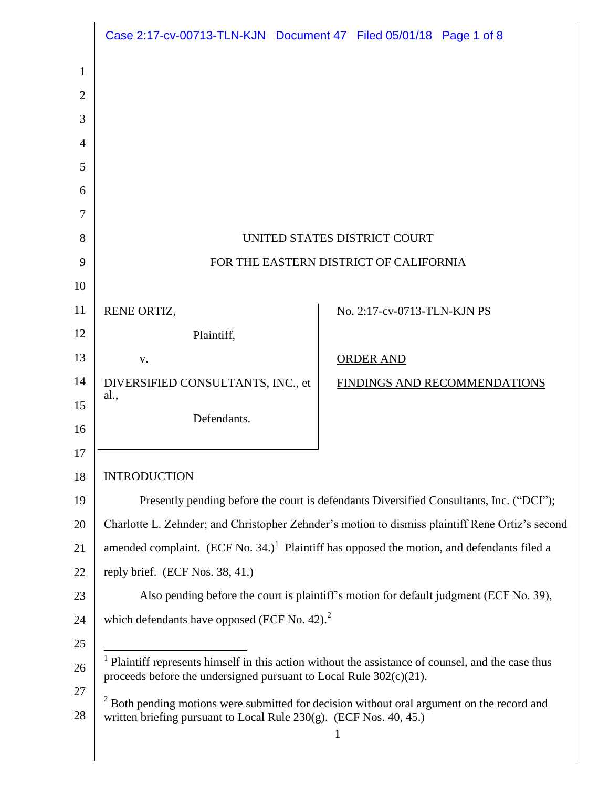|                | Case 2:17-cv-00713-TLN-KJN  Document 47  Filed 05/01/18  Page 1 of 8                                                                                                      |                                                                                         |  |
|----------------|---------------------------------------------------------------------------------------------------------------------------------------------------------------------------|-----------------------------------------------------------------------------------------|--|
| 1              |                                                                                                                                                                           |                                                                                         |  |
| $\overline{2}$ |                                                                                                                                                                           |                                                                                         |  |
| 3              |                                                                                                                                                                           |                                                                                         |  |
| 4              |                                                                                                                                                                           |                                                                                         |  |
| 5              |                                                                                                                                                                           |                                                                                         |  |
| 6              |                                                                                                                                                                           |                                                                                         |  |
| 7              |                                                                                                                                                                           |                                                                                         |  |
| 8              | UNITED STATES DISTRICT COURT                                                                                                                                              |                                                                                         |  |
| 9              | FOR THE EASTERN DISTRICT OF CALIFORNIA                                                                                                                                    |                                                                                         |  |
| 10             |                                                                                                                                                                           |                                                                                         |  |
| 11             | RENE ORTIZ,                                                                                                                                                               | No. 2:17-cv-0713-TLN-KJN PS                                                             |  |
| 12             | Plaintiff,                                                                                                                                                                |                                                                                         |  |
| 13             | V.                                                                                                                                                                        | <b>ORDER AND</b>                                                                        |  |
| 14             | DIVERSIFIED CONSULTANTS, INC., et<br>al.,                                                                                                                                 | FINDINGS AND RECOMMENDATIONS                                                            |  |
| 15             | Defendants.                                                                                                                                                               |                                                                                         |  |
| 16             |                                                                                                                                                                           |                                                                                         |  |
| 17             |                                                                                                                                                                           |                                                                                         |  |
| 18             | <b>INTRODUCTION</b>                                                                                                                                                       |                                                                                         |  |
| 19             |                                                                                                                                                                           | Presently pending before the court is defendants Diversified Consultants, Inc. ("DCI"); |  |
| 20             | Charlotte L. Zehnder; and Christopher Zehnder's motion to dismiss plaintiff Rene Ortiz's second                                                                           |                                                                                         |  |
| 21<br>22       | amended complaint. $(ECF No. 34.)$ <sup>1</sup> Plaintiff has opposed the motion, and defendants filed a                                                                  |                                                                                         |  |
| 23             | reply brief. (ECF Nos. 38, 41.)                                                                                                                                           |                                                                                         |  |
| 24             | Also pending before the court is plaintiff's motion for default judgment (ECF No. 39),<br>which defendants have opposed (ECF No. 42). <sup>2</sup>                        |                                                                                         |  |
| 25             |                                                                                                                                                                           |                                                                                         |  |
| 26             | Plaintiff represents himself in this action without the assistance of counsel, and the case thus<br>proceeds before the undersigned pursuant to Local Rule $302(c)(21)$ . |                                                                                         |  |
| 27<br>28       | $2$ Both pending motions were submitted for decision without oral argument on the record and<br>written briefing pursuant to Local Rule $230(g)$ . (ECF Nos. 40, 45.)     |                                                                                         |  |
|                |                                                                                                                                                                           | 1                                                                                       |  |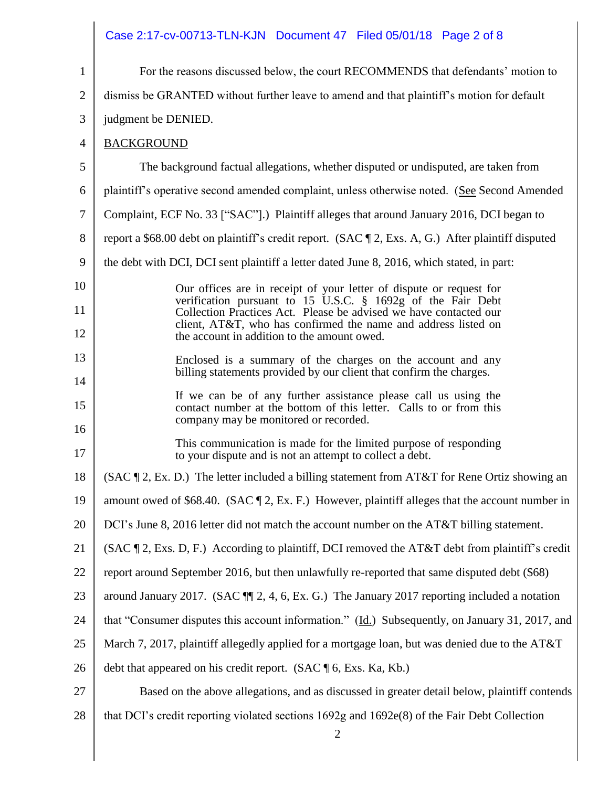#### 1 2 3 4 5 6 7 8 9 10 11 12 13 14 15 16 17 18 19 20 21 22 23 24 25 26 27 28 2 For the reasons discussed below, the court RECOMMENDS that defendants' motion to dismiss be GRANTED without further leave to amend and that plaintiff's motion for default judgment be DENIED. **BACKGROUND** The background factual allegations, whether disputed or undisputed, are taken from plaintiff's operative second amended complaint, unless otherwise noted. (See Second Amended Complaint, ECF No. 33 ["SAC"].) Plaintiff alleges that around January 2016, DCI began to report a \$68.00 debt on plaintiff's credit report. (SAC  $\P$  2, Exs. A, G.) After plaintiff disputed the debt with DCI, DCI sent plaintiff a letter dated June 8, 2016, which stated, in part: Our offices are in receipt of your letter of dispute or request for verification pursuant to 15 U.S.C. § 1692g of the Fair Debt Collection Practices Act. Please be advised we have contacted our client, AT&T, who has confirmed the name and address listed on the account in addition to the amount owed. Enclosed is a summary of the charges on the account and any billing statements provided by our client that confirm the charges. If we can be of any further assistance please call us using the contact number at the bottom of this letter. Calls to or from this company may be monitored or recorded. This communication is made for the limited purpose of responding to your dispute and is not an attempt to collect a debt. (SAC ¶ 2, Ex. D.) The letter included a billing statement from AT&T for Rene Ortiz showing an amount owed of \$68.40. (SAC  $\P$  2, Ex. F.) However, plaintiff alleges that the account number in DCI's June 8, 2016 letter did not match the account number on the AT&T billing statement. (SAC ¶ 2, Exs. D, F.) According to plaintiff, DCI removed the AT&T debt from plaintiff's credit report around September 2016, but then unlawfully re-reported that same disputed debt (\$68) around January 2017. (SAC  $\P$ , 2, 4, 6, Ex. G.) The January 2017 reporting included a notation that "Consumer disputes this account information." (Id.) Subsequently, on January 31, 2017, and March 7, 2017, plaintiff allegedly applied for a mortgage loan, but was denied due to the AT&T debt that appeared on his credit report. (SAC ¶ 6, Exs. Ka, Kb.) Based on the above allegations, and as discussed in greater detail below, plaintiff contends that DCI's credit reporting violated sections 1692g and 1692e(8) of the Fair Debt Collection Case 2:17-cv-00713-TLN-KJN Document 47 Filed 05/01/18 Page 2 of 8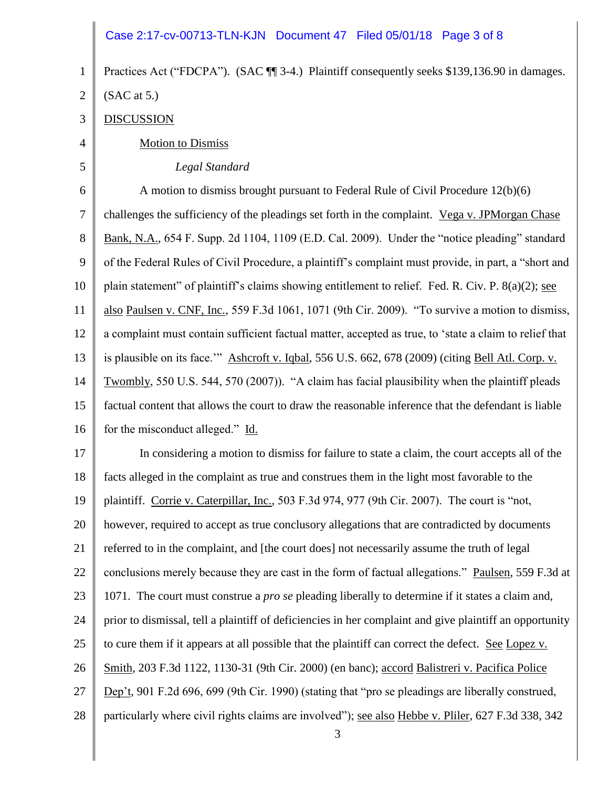#### Case 2:17-cv-00713-TLN-KJN Document 47 Filed 05/01/18 Page 3 of 8

1 2 Practices Act ("FDCPA"). (SAC  $\P$  3-4.) Plaintiff consequently seeks \$139,136.90 in damages. (SAC at 5.)

3 DISCUSSION

4

5

Motion to Dismiss

*Legal Standard*

6 7 8 9 10 11 12 13 14 15 16 A motion to dismiss brought pursuant to Federal Rule of Civil Procedure 12(b)(6) challenges the sufficiency of the pleadings set forth in the complaint. Vega v. JPMorgan Chase Bank, N.A., 654 F. Supp. 2d 1104, 1109 (E.D. Cal. 2009). Under the "notice pleading" standard of the Federal Rules of Civil Procedure, a plaintiff's complaint must provide, in part, a "short and plain statement" of plaintiff's claims showing entitlement to relief. Fed. R. Civ. P. 8(a)(2); see also Paulsen v. CNF, Inc., 559 F.3d 1061, 1071 (9th Cir. 2009). "To survive a motion to dismiss, a complaint must contain sufficient factual matter, accepted as true, to 'state a claim to relief that is plausible on its face.'" Ashcroft v. Iqbal, 556 U.S. 662, 678 (2009) (citing Bell Atl. Corp. v. Twombly, 550 U.S. 544, 570 (2007)). "A claim has facial plausibility when the plaintiff pleads factual content that allows the court to draw the reasonable inference that the defendant is liable for the misconduct alleged." Id.

17 18 19 20 21 22 23 24 25 26 27 28 In considering a motion to dismiss for failure to state a claim, the court accepts all of the facts alleged in the complaint as true and construes them in the light most favorable to the plaintiff. Corrie v. Caterpillar, Inc., 503 F.3d 974, 977 (9th Cir. 2007). The court is "not, however, required to accept as true conclusory allegations that are contradicted by documents referred to in the complaint, and [the court does] not necessarily assume the truth of legal conclusions merely because they are cast in the form of factual allegations." Paulsen, 559 F.3d at 1071. The court must construe a *pro se* pleading liberally to determine if it states a claim and, prior to dismissal, tell a plaintiff of deficiencies in her complaint and give plaintiff an opportunity to cure them if it appears at all possible that the plaintiff can correct the defect. See Lopez v. Smith, 203 F.3d 1122, 1130-31 (9th Cir. 2000) (en banc); accord Balistreri v. Pacifica Police Dep't, 901 F.2d 696, 699 (9th Cir. 1990) (stating that "pro se pleadings are liberally construed, particularly where civil rights claims are involved"); see also Hebbe v. Pliler, 627 F.3d 338, 342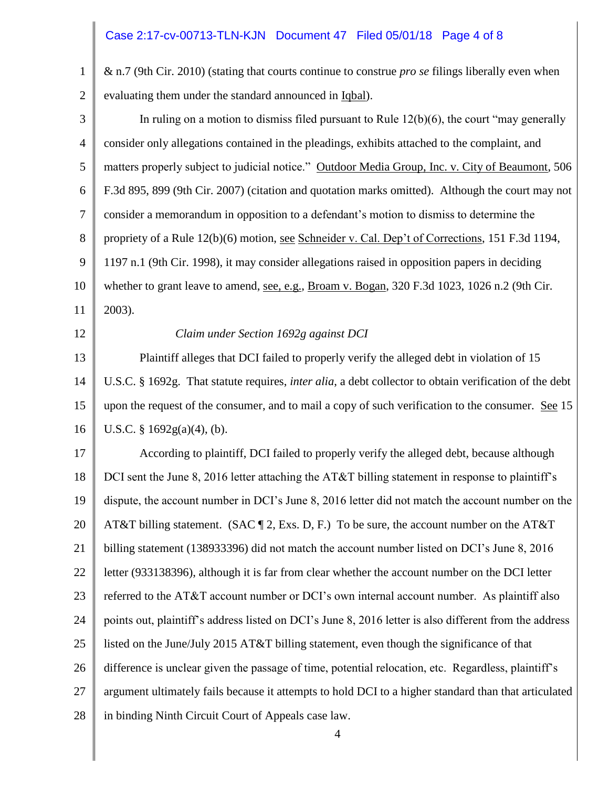## Case 2:17-cv-00713-TLN-KJN Document 47 Filed 05/01/18 Page 4 of 8

1 2 & n.7 (9th Cir. 2010) (stating that courts continue to construe *pro se* filings liberally even when evaluating them under the standard announced in Iqbal).

| 3              | In ruling on a motion to dismiss filed pursuant to Rule $12(b)(6)$ , the court "may generally                  |
|----------------|----------------------------------------------------------------------------------------------------------------|
| $\overline{4}$ | consider only allegations contained in the pleadings, exhibits attached to the complaint, and                  |
| 5              | matters properly subject to judicial notice." Outdoor Media Group, Inc. v. City of Beaumont, 506               |
| 6              | F.3d 895, 899 (9th Cir. 2007) (citation and quotation marks omitted). Although the court may not               |
| $\tau$         | consider a memorandum in opposition to a defendant's motion to dismiss to determine the                        |
| 8              | propriety of a Rule 12(b)(6) motion, see Schneider v. Cal. Dep't of Corrections, 151 F.3d 1194,                |
| 9              | 1197 n.1 (9th Cir. 1998), it may consider allegations raised in opposition papers in deciding                  |
| 10             | whether to grant leave to amend, see, e.g., Broam v. Bogan, 320 F.3d 1023, 1026 n.2 (9th Cir.                  |
| 11             | 2003).                                                                                                         |
| 12             | Claim under Section 1692g against DCI                                                                          |
| 13             | Plaintiff alleges that DCI failed to properly verify the alleged debt in violation of 15                       |
| 14             | U.S.C. § 1692g. That statute requires, <i>inter alia</i> , a debt collector to obtain verification of the debt |
| 15             | upon the request of the consumer, and to mail a copy of such verification to the consumer. See 15              |
| 16             | U.S.C. $\S$ 1692g(a)(4), (b).                                                                                  |
| 17             | According to plaintiff, DCI failed to properly verify the alleged debt, because although                       |
| 18             | DCI sent the June 8, 2016 letter attaching the AT&T billing statement in response to plaintiff's               |
| 19             | dispute, the account number in DCI's June 8, 2016 letter did not match the account number on the               |
| 20             | AT&T billing statement. (SAC $\P$ 2, Exs. D, F.) To be sure, the account number on the AT&T                    |
| 21             | billing statement (138933396) did not match the account number listed on DCI's June 8, 2016                    |
| 22             | letter (933138396), although it is far from clear whether the account number on the DCI letter                 |
| 23             | referred to the AT&T account number or DCI's own internal account number. As plaintiff also                    |
| 24             | points out, plaintiff's address listed on DCI's June 8, 2016 letter is also different from the address         |
| 25             | listed on the June/July 2015 AT&T billing statement, even though the significance of that                      |
| 26             | difference is unclear given the passage of time, potential relocation, etc. Regardless, plaintiff's            |
| 27             | argument ultimately fails because it attempts to hold DCI to a higher standard than that articulated           |
| 28             | in binding Ninth Circuit Court of Appeals case law.                                                            |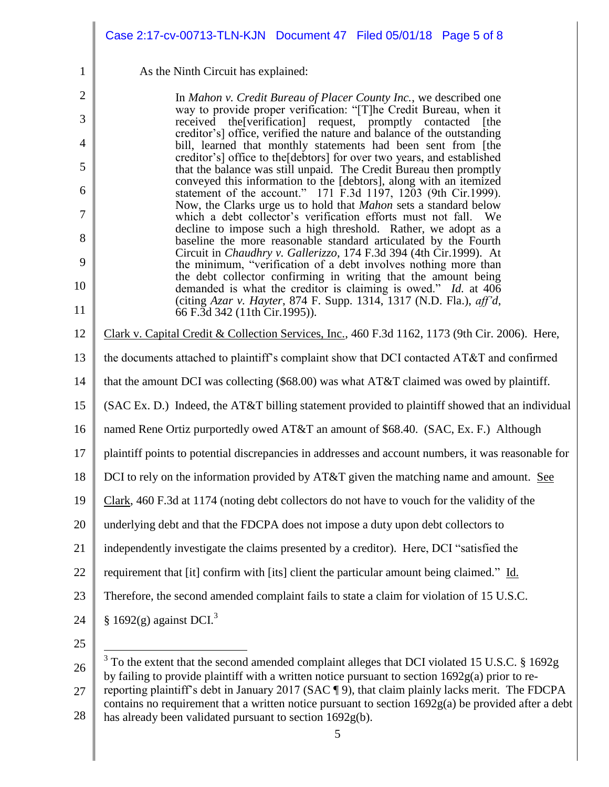|                | Case 2:17-cv-00713-TLN-KJN  Document 47  Filed 05/01/18  Page 5 of 8                                                                                                                                  |  |  |
|----------------|-------------------------------------------------------------------------------------------------------------------------------------------------------------------------------------------------------|--|--|
| $\mathbf{1}$   | As the Ninth Circuit has explained:                                                                                                                                                                   |  |  |
| $\overline{2}$ | In Mahon v. Credit Bureau of Placer County Inc., we described one                                                                                                                                     |  |  |
| 3              | way to provide proper verification: "[T]he Credit Bureau, when it<br>received the[verification] request, promptly contacted [the                                                                      |  |  |
| $\overline{4}$ | creditor's] office, verified the nature and balance of the outstanding<br>bill, learned that monthly statements had been sent from [the                                                               |  |  |
| 5              | creditor's] office to the [debtors] for over two years, and established<br>that the balance was still unpaid. The Credit Bureau then promptly                                                         |  |  |
| 6              | conveyed this information to the [debtors], along with an itemized<br>statement of the account." 171 F.3d 1197, 1203 (9th Cir.1999).                                                                  |  |  |
| 7              | Now, the Clarks urge us to hold that Mahon sets a standard below<br>which a debt collector's verification efforts must not fall. We                                                                   |  |  |
| 8              | decline to impose such a high threshold. Rather, we adopt as a<br>baseline the more reasonable standard articulated by the Fourth                                                                     |  |  |
| 9              | Circuit in <i>Chaudhry v. Gallerizzo</i> , 174 F.3d 394 (4th Cir.1999). At<br>the minimum, "verification of a debt involves nothing more than                                                         |  |  |
| 10             | the debt collector confirming in writing that the amount being<br>demanded is what the creditor is claiming is owed." Id. at 406                                                                      |  |  |
| 11             | (citing Azar v. Hayter, 874 F. Supp. 1314, 1317 (N.D. Fla.), aff'd,<br>66 F.3d 342 (11th Cir.1995)).                                                                                                  |  |  |
| 12             | Clark v. Capital Credit & Collection Services, Inc., 460 F.3d 1162, 1173 (9th Cir. 2006). Here,                                                                                                       |  |  |
| 13             | the documents attached to plaintiff's complaint show that DCI contacted AT&T and confirmed                                                                                                            |  |  |
| 14             | that the amount DCI was collecting (\$68.00) was what AT&T claimed was owed by plaintiff.                                                                                                             |  |  |
| 15             | (SAC Ex. D.) Indeed, the AT&T billing statement provided to plaintiff showed that an individual                                                                                                       |  |  |
| 16             | named Rene Ortiz purportedly owed AT&T an amount of \$68.40. (SAC, Ex. F.) Although                                                                                                                   |  |  |
| 17             | plaintiff points to potential discrepancies in addresses and account numbers, it was reasonable for                                                                                                   |  |  |
| 18             | DCI to rely on the information provided by AT&T given the matching name and amount. See                                                                                                               |  |  |
| 19             | Clark, 460 F.3d at 1174 (noting debt collectors do not have to vouch for the validity of the                                                                                                          |  |  |
| 20             | underlying debt and that the FDCPA does not impose a duty upon debt collectors to                                                                                                                     |  |  |
| 21             | independently investigate the claims presented by a creditor). Here, DCI "satisfied the                                                                                                               |  |  |
| 22             | requirement that [it] confirm with [its] client the particular amount being claimed." Id.                                                                                                             |  |  |
| 23             | Therefore, the second amended complaint fails to state a claim for violation of 15 U.S.C.                                                                                                             |  |  |
| 24             | § 1692(g) against DCI. <sup>3</sup>                                                                                                                                                                   |  |  |
| 25             |                                                                                                                                                                                                       |  |  |
| 26             | 3<br>To the extent that the second amended complaint alleges that DCI violated 15 U.S.C. § 1692g<br>by failing to provide plaintiff with a written notice pursuant to section $1692g(a)$ prior to re- |  |  |

27 | 28 reporting plaintiff's debt in January 2017 (SAC ¶ 9), that claim plainly lacks merit. The FDCPA contains no requirement that a written notice pursuant to section 1692g(a) be provided after a debt has already been validated pursuant to section 1692g(b).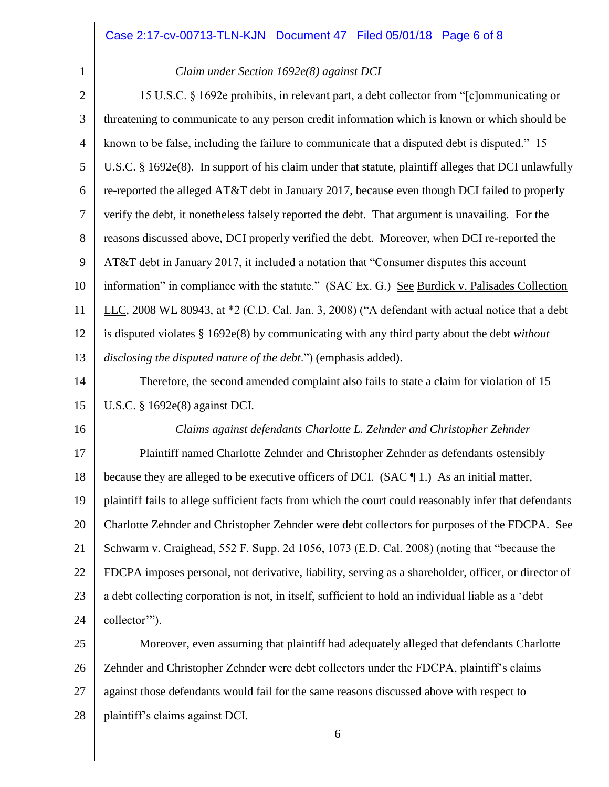# Case 2:17-cv-00713-TLN-KJN Document 47 Filed 05/01/18 Page 6 of 8

### *Claim under Section 1692e(8) against DCI*

1

| $\overline{2}$   | 15 U.S.C. § 1692e prohibits, in relevant part, a debt collector from "[c]ommunicating or               |
|------------------|--------------------------------------------------------------------------------------------------------|
| 3                | threatening to communicate to any person credit information which is known or which should be          |
| $\overline{4}$   | known to be false, including the failure to communicate that a disputed debt is disputed." 15          |
| 5                | U.S.C. § 1692e(8). In support of his claim under that statute, plaintiff alleges that DCI unlawfully   |
| 6                | re-reported the alleged AT&T debt in January 2017, because even though DCI failed to properly          |
| $\boldsymbol{7}$ | verify the debt, it nonetheless falsely reported the debt. That argument is unavailing. For the        |
| 8                | reasons discussed above, DCI properly verified the debt. Moreover, when DCI re-reported the            |
| 9                | AT&T debt in January 2017, it included a notation that "Consumer disputes this account                 |
| 10               | information" in compliance with the statute." (SAC Ex. G.) See Burdick v. Palisades Collection         |
| 11               | LLC, 2008 WL 80943, at *2 (C.D. Cal. Jan. 3, 2008) ("A defendant with actual notice that a debt        |
| 12               | is disputed violates $\S 1692e(8)$ by communicating with any third party about the debt without        |
| 13               | disclosing the disputed nature of the debt.") (emphasis added).                                        |
| 14               | Therefore, the second amended complaint also fails to state a claim for violation of 15                |
| 15               | U.S.C. § 1692e(8) against DCI.                                                                         |
| 16               | Claims against defendants Charlotte L. Zehnder and Christopher Zehnder                                 |
| 17               | Plaintiff named Charlotte Zehnder and Christopher Zehnder as defendants ostensibly                     |
| 18               | because they are alleged to be executive officers of DCI. (SAC $\P$ 1.) As an initial matter,          |
| 19               | plaintiff fails to allege sufficient facts from which the court could reasonably infer that defendants |
| 20               | Charlotte Zehnder and Christopher Zehnder were debt collectors for purposes of the FDCPA. See          |
| 21               | Schwarm v. Craighead, 552 F. Supp. 2d 1056, 1073 (E.D. Cal. 2008) (noting that "because the            |
| 22               | FDCPA imposes personal, not derivative, liability, serving as a shareholder, officer, or director of   |
| 23               | a debt collecting corporation is not, in itself, sufficient to hold an individual liable as a 'debt    |
| 24               | collector"").                                                                                          |
| 25               | Moreover, even assuming that plaintiff had adequately alleged that defendants Charlotte                |
| 26               | Zehnder and Christopher Zehnder were debt collectors under the FDCPA, plaintiff's claims               |
| 27               | against those defendants would fail for the same reasons discussed above with respect to               |
| 28               | plaintiff's claims against DCI.                                                                        |

6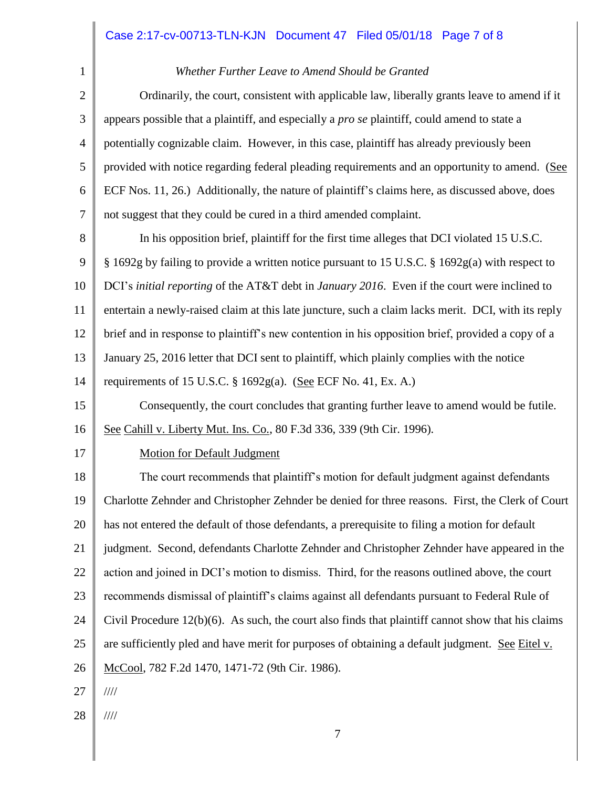### Case 2:17-cv-00713-TLN-KJN Document 47 Filed 05/01/18 Page 7 of 8

#### *Whether Further Leave to Amend Should be Granted*

2 3 4 5 6 7 Ordinarily, the court, consistent with applicable law, liberally grants leave to amend if it appears possible that a plaintiff, and especially a *pro se* plaintiff, could amend to state a potentially cognizable claim. However, in this case, plaintiff has already previously been provided with notice regarding federal pleading requirements and an opportunity to amend. (See ECF Nos. 11, 26.) Additionally, the nature of plaintiff's claims here, as discussed above, does not suggest that they could be cured in a third amended complaint.

8 9 10 11 12 13 14 In his opposition brief, plaintiff for the first time alleges that DCI violated 15 U.S.C. § 1692g by failing to provide a written notice pursuant to 15 U.S.C. § 1692g(a) with respect to DCI's *initial reporting* of the AT&T debt in *January 2016*. Even if the court were inclined to entertain a newly-raised claim at this late juncture, such a claim lacks merit. DCI, with its reply brief and in response to plaintiff's new contention in his opposition brief, provided a copy of a January 25, 2016 letter that DCI sent to plaintiff, which plainly complies with the notice requirements of 15 U.S.C.  $\S$  1692g(a). (See ECF No. 41, Ex. A.)

15 16 Consequently, the court concludes that granting further leave to amend would be futile. See Cahill v. Liberty Mut. Ins. Co., 80 F.3d 336, 339 (9th Cir. 1996).

#### Motion for Default Judgment

18 19 20 21 22 23 24 25 26 The court recommends that plaintiff's motion for default judgment against defendants Charlotte Zehnder and Christopher Zehnder be denied for three reasons. First, the Clerk of Court has not entered the default of those defendants, a prerequisite to filing a motion for default judgment. Second, defendants Charlotte Zehnder and Christopher Zehnder have appeared in the action and joined in DCI's motion to dismiss. Third, for the reasons outlined above, the court recommends dismissal of plaintiff's claims against all defendants pursuant to Federal Rule of Civil Procedure  $12(b)(6)$ . As such, the court also finds that plaintiff cannot show that his claims are sufficiently pled and have merit for purposes of obtaining a default judgment. See Eitel v. McCool, 782 F.2d 1470, 1471-72 (9th Cir. 1986).

27 ////

17

1

28 ////